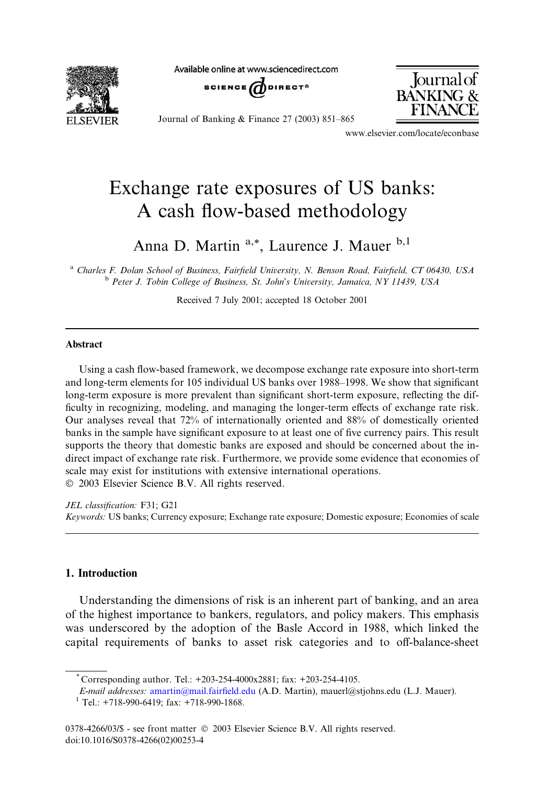**FI SEVIER** 

Available online at www.sciencedirect.com





Journal of **BANKING &** FINAN

www.elsevier.com/locate/econbase

## Exchange rate exposures of US banks: A cash flow-based methodology

Anna D. Martin<sup>a,\*</sup>, Laurence J. Mauer <sup>b,1</sup>

<sup>a</sup> Charles F. Dolan School of Business, Fairfield University, N. Benson Road, Fairfield, CT 06430, USA <sup>b</sup> Peter J. Tobin College of Business, St. John's University, Jamaica, NY 11439, USA

Received 7 July 2001; accepted 18 October 2001

## Abstract

Using a cash flow-based framework, we decompose exchange rate exposure into short-term and long-term elements for 105 individual US banks over 1988–1998. We show that significant long-term exposure is more prevalent than significant short-term exposure, reflecting the difficulty in recognizing, modeling, and managing the longer-term effects of exchange rate risk. Our analyses reveal that 72% of internationally oriented and 88% of domestically oriented banks in the sample have significant exposure to at least one of five currency pairs. This result supports the theory that domestic banks are exposed and should be concerned about the indirect impact of exchange rate risk. Furthermore, we provide some evidence that economies of scale may exist for institutions with extensive international operations. 2003 Elsevier Science B.V. All rights reserved.

JEL classification: F31; G21 Keywords: US banks; Currency exposure; Exchange rate exposure; Domestic exposure; Economies of scale

## 1. Introduction

Understanding the dimensions of risk is an inherent part of banking, and an area of the highest importance to bankers, regulators, and policy makers. This emphasis was underscored by the adoption of the Basle Accord in 1988, which linked the capital requirements of banks to asset risk categories and to off-balance-sheet

Corresponding author. Tel.: +203-254-4000x2881; fax: +203-254-4105.

E-mail addresses: [amartin@mail.fairfield.edu](mail to: amartin@mail.fairfield.edu) (A.D. Martin), mauerl@stjohns.edu (L.J. Mauer).  $1$  Tel.: +718-990-6419; fax: +718-990-1868.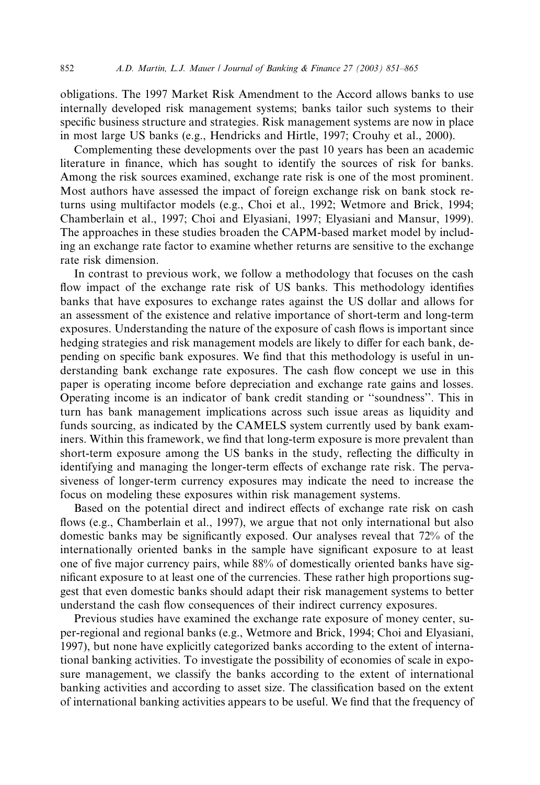obligations. The 1997 Market Risk Amendment to the Accord allows banks to use internally developed risk management systems; banks tailor such systems to their specific business structure and strategies. Risk management systems are now in place in most large US banks (e.g., Hendricks and Hirtle, 1997; Crouhy et al., 2000).

Complementing these developments over the past 10 years has been an academic literature in finance, which has sought to identify the sources of risk for banks. Among the risk sources examined, exchange rate risk is one of the most prominent. Most authors have assessed the impact of foreign exchange risk on bank stock returns using multifactor models (e.g., Choi et al., 1992; Wetmore and Brick, 1994; Chamberlain et al., 1997; Choi and Elyasiani, 1997; Elyasiani and Mansur, 1999). The approaches in these studies broaden the CAPM-based market model by including an exchange rate factor to examine whether returns are sensitive to the exchange rate risk dimension.

In contrast to previous work, we follow a methodology that focuses on the cash flow impact of the exchange rate risk of US banks. This methodology identifies banks that have exposures to exchange rates against the US dollar and allows for an assessment of the existence and relative importance of short-term and long-term exposures. Understanding the nature of the exposure of cash flows is important since hedging strategies and risk management models are likely to differ for each bank, depending on specific bank exposures. We find that this methodology is useful in understanding bank exchange rate exposures. The cash flow concept we use in this paper is operating income before depreciation and exchange rate gains and losses. Operating income is an indicator of bank credit standing or ''soundness''. This in turn has bank management implications across such issue areas as liquidity and funds sourcing, as indicated by the CAMELS system currently used by bank examiners. Within this framework, we find that long-term exposure is more prevalent than short-term exposure among the US banks in the study, reflecting the difficulty in identifying and managing the longer-term effects of exchange rate risk. The pervasiveness of longer-term currency exposures may indicate the need to increase the focus on modeling these exposures within risk management systems.

Based on the potential direct and indirect effects of exchange rate risk on cash flows (e.g., Chamberlain et al., 1997), we argue that not only international but also domestic banks may be significantly exposed. Our analyses reveal that 72% of the internationally oriented banks in the sample have significant exposure to at least one of five major currency pairs, while 88% of domestically oriented banks have significant exposure to at least one of the currencies. These rather high proportions suggest that even domestic banks should adapt their risk management systems to better understand the cash flow consequences of their indirect currency exposures.

Previous studies have examined the exchange rate exposure of money center, super-regional and regional banks (e.g., Wetmore and Brick, 1994; Choi and Elyasiani, 1997), but none have explicitly categorized banks according to the extent of international banking activities. To investigate the possibility of economies of scale in exposure management, we classify the banks according to the extent of international banking activities and according to asset size. The classification based on the extent of international banking activities appears to be useful. We find that the frequency of